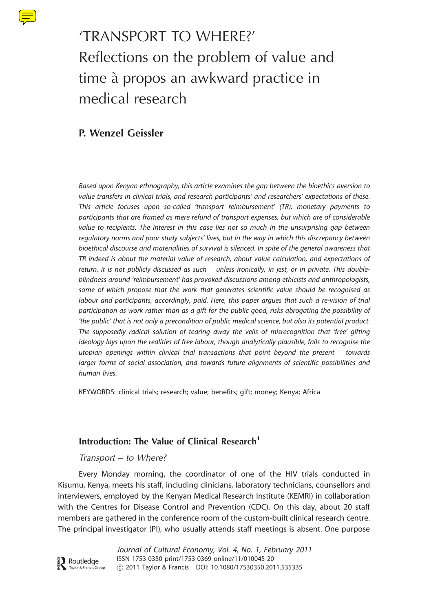# 'TRANSPORT TO WHERE?' Reflections on the problem of value and time à propos an awkward practice in medical research

# P. Wenzel Geissler

Based upon Kenyan ethnography, this article examines the gap between the bioethics aversion to value transfers in clinical trials, and research participants' and researchers' expectations of these. This article focuses upon so-called 'transport reimbursement' (TR): monetary payments to participants that are framed as mere refund of transport expenses, but which are of considerable value to recipients. The interest in this case lies not so much in the unsurprising gap between regulatory norms and poor study subjects' lives, but in the way in which this discrepancy between bioethical discourse and materialities of survival is silenced. In spite of the general awareness that TR indeed is about the material value of research, about value calculation, and expectations of return, it is not publicly discussed as such  $-$  unless ironically, in jest, or in private. This doubleblindness around 'reimbursement' has provoked discussions among ethicists and anthropologists, some of which propose that the work that generates scientific value should be recognised as labour and participants, accordingly, paid. Here, this paper argues that such a re-vision of trial participation as work rather than as a gift for the public good, risks abrogating the possibility of 'the public' that is not only a precondition of public medical science, but also its potential product. The supposedly radical solution of tearing away the veils of misrecognition that 'free' gifting ideology lays upon the realities of free labour, though analytically plausible, fails to recognise the utopian openings within clinical trial transactions that point beyond the present  $-$  towards larger forms of social association, and towards future alignments of scientific possibilities and human lives.

KEYWORDS: clinical trials; research; value; benefits; gift; money; Kenya; Africa

### Introduction: The Value of Clinical Research<sup>1</sup>

# Transport – to Where?

Every Monday morning, the coordinator of one of the HIV trials conducted in Kisumu, Kenya, meets his staff, including clinicians, laboratory technicians, counsellors and interviewers, employed by the Kenyan Medical Research Institute (KEMRI) in collaboration with the Centres for Disease Control and Prevention (CDC). On this day, about 20 staff members are gathered in the conference room of the custom-built clinical research centre. The principal investigator (PI), who usually attends staff meetings is absent. One purpose

Journal of Cultural Economy, Vol. 4, No. 1, February 2011  $\sum_{\text{Taylor & Francis Gro}}$ ISSN 1753-0350 print/1753-0369 online/11/010045-20 – 2011 Taylor & Francis DOI: 10.1080/17530350.2011.535335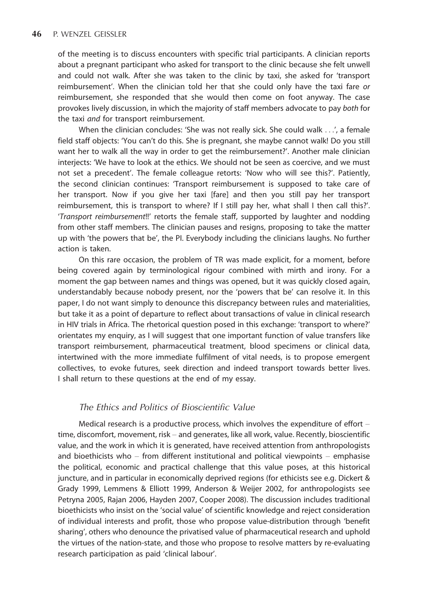of the meeting is to discuss encounters with specific trial participants. A clinician reports about a pregnant participant who asked for transport to the clinic because she felt unwell and could not walk. After she was taken to the clinic by taxi, she asked for 'transport reimbursement'. When the clinician told her that she could only have the taxi fare or reimbursement, she responded that she would then come on foot anyway. The case provokes lively discussion, in which the majority of staff members advocate to pay both for the taxi and for transport reimbursement.

When the clinician concludes: 'She was not really sick. She could walk ...', a female field staff objects: 'You can't do this. She is pregnant, she maybe cannot walk! Do you still want her to walk all the way in order to get the reimbursement?'. Another male clinician interjects: 'We have to look at the ethics. We should not be seen as coercive, and we must not set a precedent'. The female colleague retorts: 'Now who will see this?'. Patiently, the second clinician continues: 'Transport reimbursement is supposed to take care of her transport. Now if you give her taxi [fare] and then you still pay her transport reimbursement, this is transport to where? If I still pay her, what shall I then call this?'. 'Transport reimbursement!!' retorts the female staff, supported by laughter and nodding from other staff members. The clinician pauses and resigns, proposing to take the matter up with 'the powers that be', the PI. Everybody including the clinicians laughs. No further action is taken.

On this rare occasion, the problem of TR was made explicit, for a moment, before being covered again by terminological rigour combined with mirth and irony. For a moment the gap between names and things was opened, but it was quickly closed again, understandably because nobody present, nor the 'powers that be' can resolve it. In this paper, I do not want simply to denounce this discrepancy between rules and materialities, but take it as a point of departure to reflect about transactions of value in clinical research in HIV trials in Africa. The rhetorical question posed in this exchange: 'transport to where?' orientates my enquiry, as I will suggest that one important function of value transfers like transport reimbursement, pharmaceutical treatment, blood specimens or clinical data, intertwined with the more immediate fulfilment of vital needs, is to propose emergent collectives, to evoke futures, seek direction and indeed transport towards better lives. I shall return to these questions at the end of my essay.

#### The Ethics and Politics of Bioscientific Value

Medical research is a productive process, which involves the expenditure of effort  $$ time, discomfort, movement, risk  $-$  and generates, like all work, value. Recently, bioscientific value, and the work in which it is generated, have received attention from anthropologists and bioethicists who  $-$  from different institutional and political viewpoints  $-$  emphasise the political, economic and practical challenge that this value poses, at this historical juncture, and in particular in economically deprived regions (for ethicists see e.g. Dickert & Grady 1999, Lemmens & Elliott 1999, Anderson & Weijer 2002, for anthropologists see Petryna 2005, Rajan 2006, Hayden 2007, Cooper 2008). The discussion includes traditional bioethicists who insist on the 'social value' of scientific knowledge and reject consideration of individual interests and profit, those who propose value-distribution through 'benefit sharing', others who denounce the privatised value of pharmaceutical research and uphold the virtues of the nation-state, and those who propose to resolve matters by re-evaluating research participation as paid 'clinical labour'.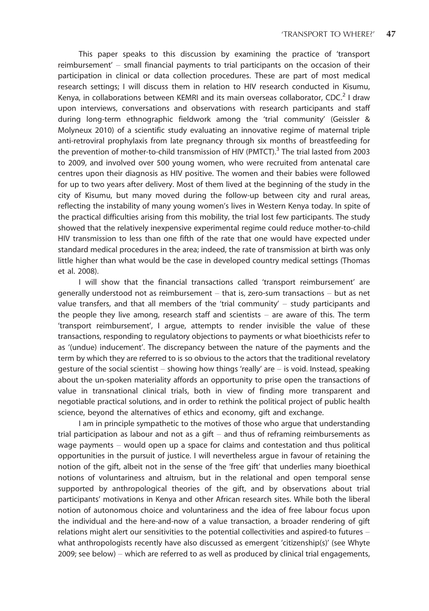This paper speaks to this discussion by examining the practice of 'transport reimbursement' - small financial payments to trial participants on the occasion of their participation in clinical or data collection procedures. These are part of most medical research settings; I will discuss them in relation to HIV research conducted in Kisumu, Kenya, in collaborations between KEMRI and its main overseas collaborator, CDC.<sup>2</sup> I draw upon interviews, conversations and observations with research participants and staff during long-term ethnographic fieldwork among the 'trial community' (Geissler & Molyneux 2010) of a scientific study evaluating an innovative regime of maternal triple anti-retroviral prophylaxis from late pregnancy through six months of breastfeeding for the prevention of mother-to-child transmission of HIV (PMTCT). $3$  The trial lasted from 2003 to 2009, and involved over 500 young women, who were recruited from antenatal care centres upon their diagnosis as HIV positive. The women and their babies were followed for up to two years after delivery. Most of them lived at the beginning of the study in the city of Kisumu, but many moved during the follow-up between city and rural areas, reflecting the instability of many young women's lives in Western Kenya today. In spite of the practical difficulties arising from this mobility, the trial lost few participants. The study showed that the relatively inexpensive experimental regime could reduce mother-to-child HIV transmission to less than one fifth of the rate that one would have expected under standard medical procedures in the area; indeed, the rate of transmission at birth was only little higher than what would be the case in developed country medical settings (Thomas et al. 2008).

I will show that the financial transactions called 'transport reimbursement' are generally understood not as reimbursement  $-$  that is, zero-sum transactions  $-$  but as net value transfers, and that all members of the 'trial community'  $-$  study participants and the people they live among, research staff and scientists  $-$  are aware of this. The term 'transport reimbursement', I argue, attempts to render invisible the value of these transactions, responding to regulatory objections to payments or what bioethicists refer to as '(undue) inducement'. The discrepancy between the nature of the payments and the term by which they are referred to is so obvious to the actors that the traditional revelatory gesture of the social scientist  $-$  showing how things 'really' are  $-$  is void. Instead, speaking about the un-spoken materiality affords an opportunity to prise open the transactions of value in transnational clinical trials, both in view of finding more transparent and negotiable practical solutions, and in order to rethink the political project of public health science, beyond the alternatives of ethics and economy, gift and exchange.

I am in principle sympathetic to the motives of those who argue that understanding trial participation as labour and not as a gift  $-$  and thus of reframing reimbursements as wage payments  $-$  would open up a space for claims and contestation and thus political opportunities in the pursuit of justice. I will nevertheless argue in favour of retaining the notion of the gift, albeit not in the sense of the 'free gift' that underlies many bioethical notions of voluntariness and altruism, but in the relational and open temporal sense supported by anthropological theories of the gift, and by observations about trial participants' motivations in Kenya and other African research sites. While both the liberal notion of autonomous choice and voluntariness and the idea of free labour focus upon the individual and the here-and-now of a value transaction, a broader rendering of gift relations might alert our sensitivities to the potential collectivities and aspired-to futures what anthropologists recently have also discussed as emergent 'citizenship(s)' (see Whyte  $2009$ ; see below) – which are referred to as well as produced by clinical trial engagements,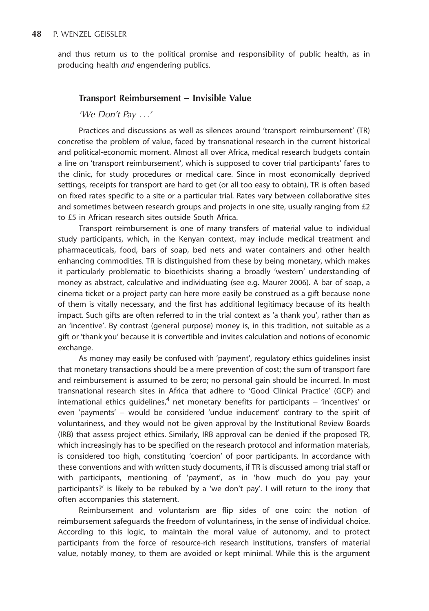and thus return us to the political promise and responsibility of public health, as in producing health and engendering publics.

#### Transport Reimbursement - Invisible Value

'We Don't Pay ...'

Practices and discussions as well as silences around 'transport reimbursement' (TR) concretise the problem of value, faced by transnational research in the current historical and political-economic moment. Almost all over Africa, medical research budgets contain a line on 'transport reimbursement', which is supposed to cover trial participants' fares to the clinic, for study procedures or medical care. Since in most economically deprived settings, receipts for transport are hard to get (or all too easy to obtain), TR is often based on fixed rates specific to a site or a particular trial. Rates vary between collaborative sites and sometimes between research groups and projects in one site, usually ranging from  $£2$ to £5 in African research sites outside South Africa.

Transport reimbursement is one of many transfers of material value to individual study participants, which, in the Kenyan context, may include medical treatment and pharmaceuticals, food, bars of soap, bed nets and water containers and other health enhancing commodities. TR is distinguished from these by being monetary, which makes it particularly problematic to bioethicists sharing a broadly 'western' understanding of money as abstract, calculative and individuating (see e.g. Maurer 2006). A bar of soap, a cinema ticket or a project party can here more easily be construed as a gift because none of them is vitally necessary, and the first has additional legitimacy because of its health impact. Such gifts are often referred to in the trial context as 'a thank you', rather than as an 'incentive'. By contrast (general purpose) money is, in this tradition, not suitable as a gift or 'thank you' because it is convertible and invites calculation and notions of economic exchange.

As money may easily be confused with 'payment', regulatory ethics guidelines insist that monetary transactions should be a mere prevention of cost; the sum of transport fare and reimbursement is assumed to be zero; no personal gain should be incurred. In most transnational research sites in Africa that adhere to 'Good Clinical Practice' (GCP) and international ethics quidelines, $4$  net monetary benefits for participants  $-$  'incentives' or even 'payments' - would be considered 'undue inducement' contrary to the spirit of voluntariness, and they would not be given approval by the Institutional Review Boards (IRB) that assess project ethics. Similarly, IRB approval can be denied if the proposed TR, which increasingly has to be specified on the research protocol and information materials, is considered too high, constituting 'coercion' of poor participants. In accordance with these conventions and with written study documents, if TR is discussed among trial staff or with participants, mentioning of 'payment', as in 'how much do you pay your participants?' is likely to be rebuked by a 'we don't pay'. I will return to the irony that often accompanies this statement.

Reimbursement and voluntarism are flip sides of one coin: the notion of reimbursement safeguards the freedom of voluntariness, in the sense of individual choice. According to this logic, to maintain the moral value of autonomy, and to protect participants from the force of resource-rich research institutions, transfers of material value, notably money, to them are avoided or kept minimal. While this is the argument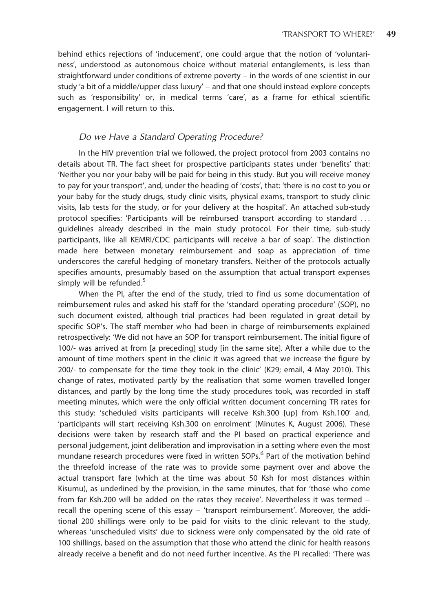behind ethics rejections of 'inducement', one could argue that the notion of 'voluntariness', understood as autonomous choice without material entanglements, is less than straightforward under conditions of extreme poverty  $-$  in the words of one scientist in our study 'a bit of a middle/upper class luxury' - and that one should instead explore concepts such as 'responsibility' or, in medical terms 'care', as a frame for ethical scientific engagement. I will return to this.

#### Do we Have <sup>a</sup> Standard Operating Procedure?

In the HIV prevention trial we followed, the project protocol from 2003 contains no details about TR. The fact sheet for prospective participants states under 'benefits' that: 'Neither you nor your baby will be paid for being in this study. But you will receive money to pay for your transport', and, under the heading of 'costs', that: 'there is no cost to you or your baby for the study drugs, study clinic visits, physical exams, transport to study clinic visits, lab tests for the study, or for your delivery at the hospital'. An attached sub-study protocol specifies: 'Participants will be reimbursed transport according to standard ... guidelines already described in the main study protocol. For their time, sub-study participants, like all KEMRI/CDC participants will receive a bar of soap'. The distinction made here between monetary reimbursement and soap as appreciation of time underscores the careful hedging of monetary transfers. Neither of the protocols actually specifies amounts, presumably based on the assumption that actual transport expenses simply will be refunded. $5$ 

When the PI, after the end of the study, tried to find us some documentation of reimbursement rules and asked his staff for the 'standard operating procedure' (SOP), no such document existed, although trial practices had been regulated in great detail by specific SOP's. The staff member who had been in charge of reimbursements explained retrospectively: 'We did not have an SOP for transport reimbursement. The initial figure of 100/- was arrived at from [a preceding] study [in the same site]. After a while due to the amount of time mothers spent in the clinic it was agreed that we increase the figure by 200/- to compensate for the time they took in the clinic' (K29; email, 4 May 2010). This change of rates, motivated partly by the realisation that some women travelled longer distances, and partly by the long time the study procedures took, was recorded in staff meeting minutes, which were the only official written document concerning TR rates for this study: 'scheduled visits participants will receive Ksh.300 [up] from Ksh.100' and, 'participants will start receiving Ksh.300 on enrolment' (Minutes K, August 2006). These decisions were taken by research staff and the PI based on practical experience and personal judgement, joint deliberation and improvisation in a setting where even the most mundane research procedures were fixed in written SOPs.<sup>6</sup> Part of the motivation behind the threefold increase of the rate was to provide some payment over and above the actual transport fare (which at the time was about 50 Ksh for most distances within Kisumu), as underlined by the provision, in the same minutes, that for 'those who come from far Ksh.200 will be added on the rates they receive'. Nevertheless it was termed recall the opening scene of this essay  $-$  'transport reimbursement'. Moreover, the additional 200 shillings were only to be paid for visits to the clinic relevant to the study, whereas 'unscheduled visits' due to sickness were only compensated by the old rate of 100 shillings, based on the assumption that those who attend the clinic for health reasons already receive a benefit and do not need further incentive. As the PI recalled: 'There was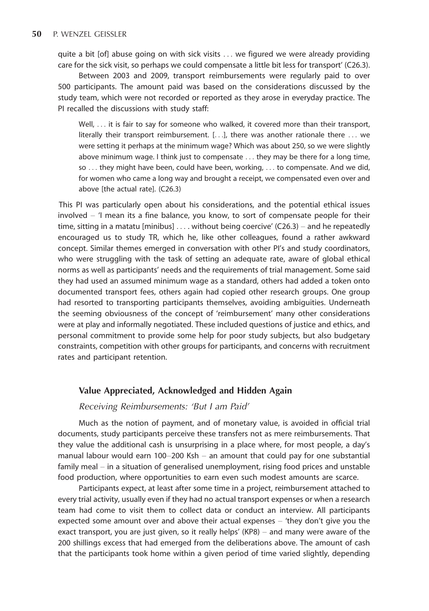quite a bit [of] abuse going on with sick visits ... we figured we were already providing care for the sick visit, so perhaps we could compensate a little bit less for transport' (C26.3).

Between 2003 and 2009, transport reimbursements were regularly paid to over 500 participants. The amount paid was based on the considerations discussed by the study team, which were not recorded or reported as they arose in everyday practice. The PI recalled the discussions with study staff:

Well, ... it is fair to say for someone who walked, it covered more than their transport, literally their transport reimbursement. [...], there was another rationale there ... we were setting it perhaps at the minimum wage? Which was about 250, so we were slightly above minimum wage. I think just to compensate ... they may be there for a long time, so ... they might have been, could have been, working, ... to compensate. And we did, for women who came a long way and brought a receipt, we compensated even over and above [the actual rate]. (C26.3)

This PI was particularly open about his considerations, and the potential ethical issues involved  $-$  'I mean its a fine balance, you know, to sort of compensate people for their time, sitting in a matatu [minibus]  $\dots$  without being coercive' (C26.3) – and he repeatedly encouraged us to study TR, which he, like other colleagues, found a rather awkward concept. Similar themes emerged in conversation with other PI's and study coordinators, who were struggling with the task of setting an adequate rate, aware of global ethical norms as well as participants' needs and the requirements of trial management. Some said they had used an assumed minimum wage as a standard, others had added a token onto documented transport fees, others again had copied other research groups. One group had resorted to transporting participants themselves, avoiding ambiguities. Underneath the seeming obviousness of the concept of 'reimbursement' many other considerations were at play and informally negotiated. These included questions of justice and ethics, and personal commitment to provide some help for poor study subjects, but also budgetary constraints, competition with other groups for participants, and concerns with recruitment rates and participant retention.

#### Value Appreciated, Acknowledged and Hidden Again

#### Receiving Reimbursements: 'But <sup>I</sup> am Paid'

Much as the notion of payment, and of monetary value, is avoided in official trial documents, study participants perceive these transfers not as mere reimbursements. That they value the additional cash is unsurprising in a place where, for most people, a day's manual labour would earn  $100-200$  Ksh  $-$  an amount that could pay for one substantial family meal – in a situation of generalised unemployment, rising food prices and unstable food production, where opportunities to earn even such modest amounts are scarce.

Participants expect, at least after some time in a project, reimbursement attached to every trial activity, usually even if they had no actual transport expenses or when a research team had come to visit them to collect data or conduct an interview. All participants expected some amount over and above their actual expenses  $-$  'they don't give you the exact transport, you are just given, so it really helps' (KP8)  $-$  and many were aware of the 200 shillings excess that had emerged from the deliberations above. The amount of cash that the participants took home within a given period of time varied slightly, depending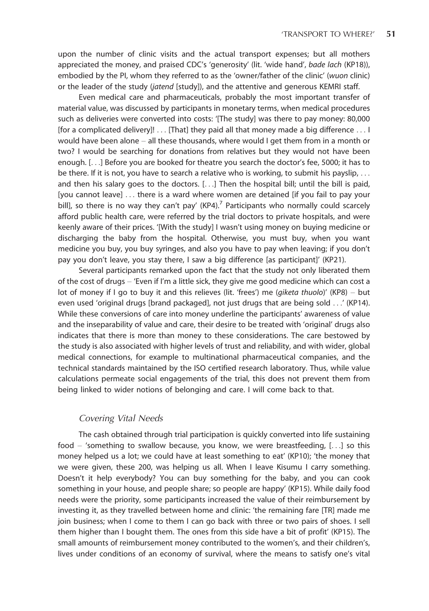upon the number of clinic visits and the actual transport expenses; but all mothers appreciated the money, and praised CDC's 'generosity' (lit. 'wide hand', bade lach (KP18)), embodied by the PI, whom they referred to as the 'owner/father of the clinic' (wuon clinic) or the leader of the study (jatend [study]), and the attentive and generous KEMRI staff.

Even medical care and pharmaceuticals, probably the most important transfer of material value, was discussed by participants in monetary terms, when medical procedures such as deliveries were converted into costs: '[The study] was there to pay money: 80,000 [for a complicated delivery]! ... [That] they paid all that money made a big difference ... I would have been alone  $-$  all these thousands, where would I get them from in a month or two? I would be searching for donations from relatives but they would not have been enough. [...] Before you are booked for theatre you search the doctor's fee, 5000; it has to be there. If it is not, you have to search a relative who is working, to submit his payslip, ... and then his salary goes to the doctors. [...] Then the hospital bill; until the bill is paid, [you cannot leave] ... there is a ward where women are detained [if you fail to pay your bill], so there is no way they can't pay' (KP4).<sup>7</sup> Participants who normally could scarcely afford public health care, were referred by the trial doctors to private hospitals, and were keenly aware of their prices. '[With the study] I wasn't using money on buying medicine or discharging the baby from the hospital. Otherwise, you must buy, when you want medicine you buy, you buy syringes, and also you have to pay when leaving; if you don't pay you don't leave, you stay there, I saw a big difference [as participant]' (KP21).

Several participants remarked upon the fact that the study not only liberated them of the cost of drugs - 'Even if I'm a little sick, they give me good medicine which can cost a lot of money if I go to buy it and this relieves (lit. 'frees') me (giketa thuolo)' (KP8) – but even used 'original drugs [brand packaged], not just drugs that are being sold ...' (KP14). While these conversions of care into money underline the participants' awareness of value and the inseparability of value and care, their desire to be treated with 'original' drugs also indicates that there is more than money to these considerations. The care bestowed by the study is also associated with higher levels of trust and reliability, and with wider, global medical connections, for example to multinational pharmaceutical companies, and the technical standards maintained by the ISO certified research laboratory. Thus, while value calculations permeate social engagements of the trial, this does not prevent them from being linked to wider notions of belonging and care. I will come back to that.

#### Covering Vital Needs

The cash obtained through trial participation is quickly converted into life sustaining food - 'something to swallow because, you know, we were breastfeeding, [...] so this money helped us a lot; we could have at least something to eat' (KP10); 'the money that we were given, these 200, was helping us all. When I leave Kisumu I carry something. Doesn't it help everybody? You can buy something for the baby, and you can cook something in your house, and people share; so people are happy' (KP15). While daily food needs were the priority, some participants increased the value of their reimbursement by investing it, as they travelled between home and clinic: 'the remaining fare [TR] made me join business; when I come to them I can go back with three or two pairs of shoes. I sell them higher than I bought them. The ones from this side have a bit of profit' (KP15). The small amounts of reimbursement money contributed to the women's, and their children's, lives under conditions of an economy of survival, where the means to satisfy one's vital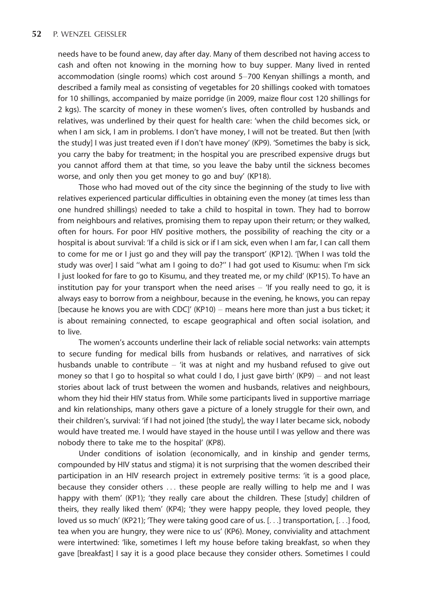needs have to be found anew, day after day. Many of them described not having access to cash and often not knowing in the morning how to buy supper. Many lived in rented accommodation (single rooms) which cost around 5-700 Kenyan shillings a month, and described a family meal as consisting of vegetables for 20 shillings cooked with tomatoes for 10 shillings, accompanied by maize porridge (in 2009, maize flour cost 120 shillings for 2 kgs). The scarcity of money in these women's lives, often controlled by husbands and relatives, was underlined by their quest for health care: 'when the child becomes sick, or when I am sick, I am in problems. I don't have money, I will not be treated. But then [with the study] I was just treated even if I don't have money' (KP9). 'Sometimes the baby is sick, you carry the baby for treatment; in the hospital you are prescribed expensive drugs but you cannot afford them at that time, so you leave the baby until the sickness becomes worse, and only then you get money to go and buy' (KP18).

Those who had moved out of the city since the beginning of the study to live with relatives experienced particular difficulties in obtaining even the money (at times less than one hundred shillings) needed to take a child to hospital in town. They had to borrow from neighbours and relatives, promising them to repay upon their return; or they walked, often for hours. For poor HIV positive mothers, the possibility of reaching the city or a hospital is about survival: 'If a child is sick or if I am sick, even when I am far, I can call them to come for me or I just go and they will pay the transport' (KP12). '[When I was told the study was over] I said ''what am I going to do?'' I had got used to Kisumu: when I'm sick I just looked for fare to go to Kisumu, and they treated me, or my child' (KP15). To have an institution pay for your transport when the need arises  $-$  'If you really need to go, it is always easy to borrow from a neighbour, because in the evening, he knows, you can repay [because he knows you are with CDC]' (KP10)  $-$  means here more than just a bus ticket; it is about remaining connected, to escape geographical and often social isolation, and to live.

The women's accounts underline their lack of reliable social networks: vain attempts to secure funding for medical bills from husbands or relatives, and narratives of sick husbands unable to contribute  $-$  'it was at night and my husband refused to give out money so that I go to hospital so what could I do, I just gave birth' (KP9)  $-$  and not least stories about lack of trust between the women and husbands, relatives and neighbours, whom they hid their HIV status from. While some participants lived in supportive marriage and kin relationships, many others gave a picture of a lonely struggle for their own, and their children's, survival: 'if I had not joined [the study], the way I later became sick, nobody would have treated me. I would have stayed in the house until I was yellow and there was nobody there to take me to the hospital' (KP8).

Under conditions of isolation (economically, and in kinship and gender terms, compounded by HIV status and stigma) it is not surprising that the women described their participation in an HIV research project in extremely positive terms: 'it is a good place, because they consider others ... these people are really willing to help me and I was happy with them' (KP1); 'they really care about the children. These [study] children of theirs, they really liked them' (KP4); 'they were happy people, they loved people, they loved us so much' (KP21); 'They were taking good care of us. [...] transportation, [...] food, tea when you are hungry, they were nice to us' (KP6). Money, conviviality and attachment were intertwined: 'like, sometimes I left my house before taking breakfast, so when they gave [breakfast] I say it is a good place because they consider others. Sometimes I could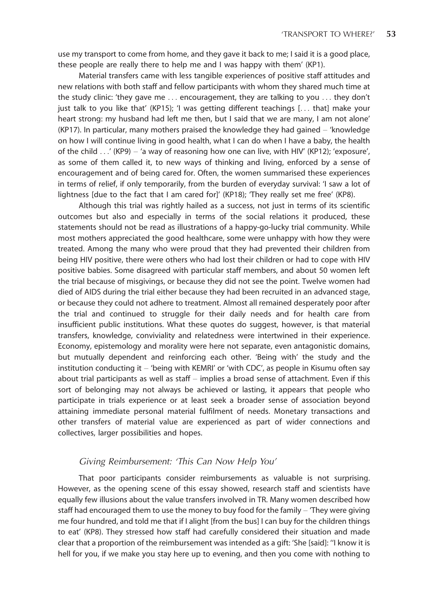use my transport to come from home, and they gave it back to me; I said it is a good place, these people are really there to help me and I was happy with them' (KP1).

Material transfers came with less tangible experiences of positive staff attitudes and new relations with both staff and fellow participants with whom they shared much time at the study clinic: 'they gave me ... encouragement, they are talking to you ... they don't just talk to you like that' (KP15); 'I was getting different teachings [... that] make your heart strong: my husband had left me then, but I said that we are many, I am not alone' (KP17). In particular, many mothers praised the knowledge they had gained 'knowledge on how I will continue living in good health, what I can do when I have a baby, the health of the child ...' (KP9) – 'a way of reasoning how one can live, with HIV' (KP12); 'exposure', as some of them called it, to new ways of thinking and living, enforced by a sense of encouragement and of being cared for. Often, the women summarised these experiences in terms of relief, if only temporarily, from the burden of everyday survival: 'I saw a lot of lightness [due to the fact that I am cared for]' (KP18); 'They really set me free' (KP8).

Although this trial was rightly hailed as a success, not just in terms of its scientific outcomes but also and especially in terms of the social relations it produced, these statements should not be read as illustrations of a happy-go-lucky trial community. While most mothers appreciated the good healthcare, some were unhappy with how they were treated. Among the many who were proud that they had prevented their children from being HIV positive, there were others who had lost their children or had to cope with HIV positive babies. Some disagreed with particular staff members, and about 50 women left the trial because of misgivings, or because they did not see the point. Twelve women had died of AIDS during the trial either because they had been recruited in an advanced stage, or because they could not adhere to treatment. Almost all remained desperately poor after the trial and continued to struggle for their daily needs and for health care from insufficient public institutions. What these quotes do suggest, however, is that material transfers, knowledge, conviviality and relatedness were intertwined in their experience. Economy, epistemology and morality were here not separate, even antagonistic domains, but mutually dependent and reinforcing each other. 'Being with' the study and the institution conducting it – 'being with KEMRI' or 'with CDC', as people in Kisumu often say about trial participants as well as staff  $-$  implies a broad sense of attachment. Even if this sort of belonging may not always be achieved or lasting, it appears that people who participate in trials experience or at least seek a broader sense of association beyond attaining immediate personal material fulfilment of needs. Monetary transactions and other transfers of material value are experienced as part of wider connections and collectives, larger possibilities and hopes.

#### Giving Reimbursement: 'This Can Now Help You'

That poor participants consider reimbursements as valuable is not surprising. However, as the opening scene of this essay showed, research staff and scientists have equally few illusions about the value transfers involved in TR. Many women described how staff had encouraged them to use the money to buy food for the family  $-$  'They were giving me four hundred, and told me that if I alight [from the bus] I can buy for the children things to eat' (KP8). They stressed how staff had carefully considered their situation and made clear that a proportion of the reimbursement was intended as a gift: 'She [said]: ''I know it is hell for you, if we make you stay here up to evening, and then you come with nothing to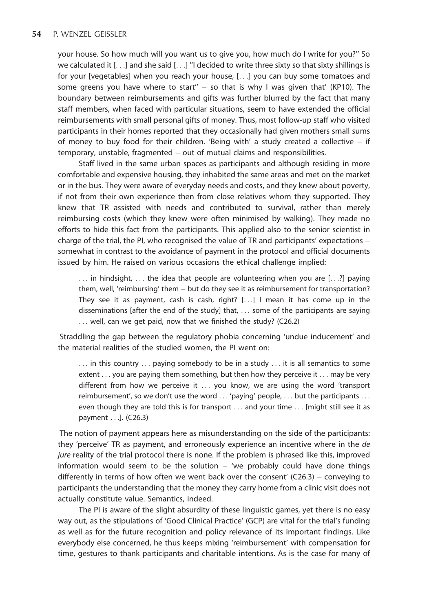your house. So how much will you want us to give you, how much do I write for you?'' So we calculated it [...] and she said [...] "I decided to write three sixty so that sixty shillings is for your [vegetables] when you reach your house, [...] you can buy some tomatoes and some greens you have where to start"  $-$  so that is why I was given that' (KP10). The boundary between reimbursements and gifts was further blurred by the fact that many staff members, when faced with particular situations, seem to have extended the official reimbursements with small personal gifts of money. Thus, most follow-up staff who visited participants in their homes reported that they occasionally had given mothers small sums of money to buy food for their children. 'Being with' a study created a collective  $-$  if temporary, unstable, fragmented  $-$  out of mutual claims and responsibilities.

Staff lived in the same urban spaces as participants and although residing in more comfortable and expensive housing, they inhabited the same areas and met on the market or in the bus. They were aware of everyday needs and costs, and they knew about poverty, if not from their own experience then from close relatives whom they supported. They knew that TR assisted with needs and contributed to survival, rather than merely reimbursing costs (which they knew were often minimised by walking). They made no efforts to hide this fact from the participants. This applied also to the senior scientist in charge of the trial, the PI, who recognised the value of TR and participants' expectations  $$ somewhat in contrast to the avoidance of payment in the protocol and official documents issued by him. He raised on various occasions the ethical challenge implied:

... in hindsight, ... the idea that people are volunteering when you are [...?] paying them, well, 'reimbursing' them  $-$  but do they see it as reimbursement for transportation? They see it as payment, cash is cash, right? [...] I mean it has come up in the disseminations [after the end of the study] that, ... some of the participants are saying ... well, can we get paid, now that we finished the study? (C26.2)

Straddling the gap between the regulatory phobia concerning 'undue inducement' and the material realities of the studied women, the PI went on:

... in this country ... paying somebody to be in a study ... it is all semantics to some extent ... you are paying them something, but then how they perceive it ... may be very different from how we perceive it ... you know, we are using the word 'transport reimbursement', so we don't use the word ... 'paying' people, ... but the participants ... even though they are told this is for transport ... and your time ... [might still see it as payment ...]. (C26.3)

The notion of payment appears here as misunderstanding on the side of the participants: they 'perceive' TR as payment, and erroneously experience an incentive where in the de jure reality of the trial protocol there is none. If the problem is phrased like this, improved information would seem to be the solution  $-$  'we probably could have done things differently in terms of how often we went back over the consent'  $(C26.3)$  – conveying to participants the understanding that the money they carry home from a clinic visit does not actually constitute value. Semantics, indeed.

The PI is aware of the slight absurdity of these linguistic games, yet there is no easy way out, as the stipulations of 'Good Clinical Practice' (GCP) are vital for the trial's funding as well as for the future recognition and policy relevance of its important findings. Like everybody else concerned, he thus keeps mixing 'reimbursement' with compensation for time, gestures to thank participants and charitable intentions. As is the case for many of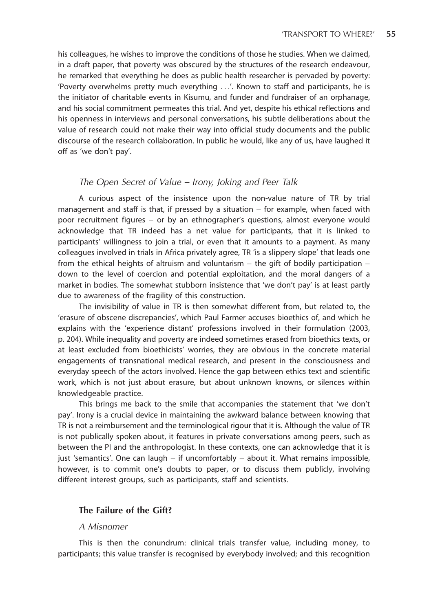his colleagues, he wishes to improve the conditions of those he studies. When we claimed, in a draft paper, that poverty was obscured by the structures of the research endeavour, he remarked that everything he does as public health researcher is pervaded by poverty: 'Poverty overwhelms pretty much everything ...'. Known to staff and participants, he is the initiator of charitable events in Kisumu, and funder and fundraiser of an orphanage, and his social commitment permeates this trial. And yet, despite his ethical reflections and his openness in interviews and personal conversations, his subtle deliberations about the value of research could not make their way into official study documents and the public discourse of the research collaboration. In public he would, like any of us, have laughed it off as 'we don't pay'.

# The Open Secret of Value – Irony, Joking and Peer Talk

A curious aspect of the insistence upon the non-value nature of TR by trial management and staff is that, if pressed by a situation  $-$  for example, when faced with poor recruitment figures  $-$  or by an ethnographer's questions, almost everyone would acknowledge that TR indeed has a net value for participants, that it is linked to participants' willingness to join a trial, or even that it amounts to a payment. As many colleagues involved in trials in Africa privately agree, TR 'is a slippery slope' that leads one from the ethical heights of altruism and voluntarism  $-$  the gift of bodily participation  $$ down to the level of coercion and potential exploitation, and the moral dangers of a market in bodies. The somewhat stubborn insistence that 'we don't pay' is at least partly due to awareness of the fragility of this construction.

The invisibility of value in TR is then somewhat different from, but related to, the 'erasure of obscene discrepancies', which Paul Farmer accuses bioethics of, and which he explains with the 'experience distant' professions involved in their formulation (2003, p. 204). While inequality and poverty are indeed sometimes erased from bioethics texts, or at least excluded from bioethicists' worries, they are obvious in the concrete material engagements of transnational medical research, and present in the consciousness and everyday speech of the actors involved. Hence the gap between ethics text and scientific work, which is not just about erasure, but about unknown knowns, or silences within knowledgeable practice.

This brings me back to the smile that accompanies the statement that 'we don't pay'. Irony is a crucial device in maintaining the awkward balance between knowing that TR is not a reimbursement and the terminological rigour that it is. Although the value of TR is not publically spoken about, it features in private conversations among peers, such as between the PI and the anthropologist. In these contexts, one can acknowledge that it is just 'semantics'. One can laugh  $-$  if uncomfortably  $-$  about it. What remains impossible, however, is to commit one's doubts to paper, or to discuss them publicly, involving different interest groups, such as participants, staff and scientists.

#### The Failure of the Gift?

#### A Misnomer

This is then the conundrum: clinical trials transfer value, including money, to participants; this value transfer is recognised by everybody involved; and this recognition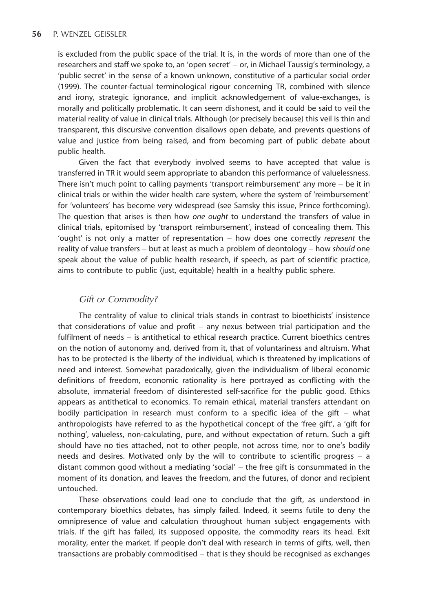is excluded from the public space of the trial. It is, in the words of more than one of the researchers and staff we spoke to, an 'open secret' - or, in Michael Taussig's terminology, a 'public secret' in the sense of a known unknown, constitutive of a particular social order (1999). The counter-factual terminological rigour concerning TR, combined with silence and irony, strategic ignorance, and implicit acknowledgement of value-exchanges, is morally and politically problematic. It can seem dishonest, and it could be said to veil the material reality of value in clinical trials. Although (or precisely because) this veil is thin and transparent, this discursive convention disallows open debate, and prevents questions of value and justice from being raised, and from becoming part of public debate about public health.

Given the fact that everybody involved seems to have accepted that value is transferred in TR it would seem appropriate to abandon this performance of valuelessness. There isn't much point to calling payments 'transport reimbursement' any more  $-$  be it in clinical trials or within the wider health care system, where the system of 'reimbursement' for 'volunteers' has become very widespread (see Samsky this issue, Prince forthcoming). The question that arises is then how one ought to understand the transfers of value in clinical trials, epitomised by 'transport reimbursement', instead of concealing them. This 'ought' is not only a matter of representation  $-$  how does one correctly represent the reality of value transfers  $-$  but at least as much a problem of deontology  $-$  how should one speak about the value of public health research, if speech, as part of scientific practice, aims to contribute to public (just, equitable) health in a healthy public sphere.

#### Gift or Commodity?

The centrality of value to clinical trials stands in contrast to bioethicists' insistence that considerations of value and profit  $-$  any nexus between trial participation and the fulfilment of needs - is antithetical to ethical research practice. Current bioethics centres on the notion of autonomy and, derived from it, that of voluntariness and altruism. What has to be protected is the liberty of the individual, which is threatened by implications of need and interest. Somewhat paradoxically, given the individualism of liberal economic definitions of freedom, economic rationality is here portrayed as conflicting with the absolute, immaterial freedom of disinterested self-sacrifice for the public good. Ethics appears as antithetical to economics. To remain ethical, material transfers attendant on bodily participation in research must conform to a specific idea of the gift  $-$  what anthropologists have referred to as the hypothetical concept of the 'free gift', a 'gift for nothing', valueless, non-calculating, pure, and without expectation of return. Such a gift should have no ties attached, not to other people, not across time, nor to one's bodily needs and desires. Motivated only by the will to contribute to scientific progress  $-$  a distant common good without a mediating 'social' – the free gift is consummated in the moment of its donation, and leaves the freedom, and the futures, of donor and recipient untouched.

These observations could lead one to conclude that the gift, as understood in contemporary bioethics debates, has simply failed. Indeed, it seems futile to deny the omnipresence of value and calculation throughout human subject engagements with trials. If the gift has failed, its supposed opposite, the commodity rears its head. Exit morality, enter the market. If people don't deal with research in terms of gifts, well, then transactions are probably commoditised  $-$  that is they should be recognised as exchanges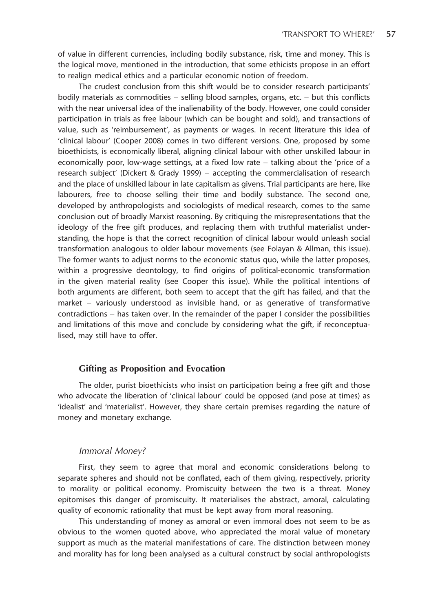of value in different currencies, including bodily substance, risk, time and money. This is the logical move, mentioned in the introduction, that some ethicists propose in an effort to realign medical ethics and a particular economic notion of freedom.

The crudest conclusion from this shift would be to consider research participants' bodily materials as commodities  $-$  selling blood samples, organs, etc.  $-$  but this conflicts with the near universal idea of the inalienability of the body. However, one could consider participation in trials as free labour (which can be bought and sold), and transactions of value, such as 'reimbursement', as payments or wages. In recent literature this idea of 'clinical labour' (Cooper 2008) comes in two different versions. One, proposed by some bioethicists, is economically liberal, aligning clinical labour with other unskilled labour in economically poor, low-wage settings, at a fixed low rate  $-$  talking about the 'price of a research subject' (Dickert & Grady 1999) accepting the commercialisation of research and the place of unskilled labour in late capitalism as givens. Trial participants are here, like labourers, free to choose selling their time and bodily substance. The second one, developed by anthropologists and sociologists of medical research, comes to the same conclusion out of broadly Marxist reasoning. By critiquing the misrepresentations that the ideology of the free gift produces, and replacing them with truthful materialist understanding, the hope is that the correct recognition of clinical labour would unleash social transformation analogous to older labour movements (see Folayan & Allman, this issue). The former wants to adjust norms to the economic status quo, while the latter proposes, within a progressive deontology, to find origins of political-economic transformation in the given material reality (see Cooper this issue). While the political intentions of both arguments are different, both seem to accept that the gift has failed, and that the market variously understood as invisible hand, or as generative of transformative contradictions – has taken over. In the remainder of the paper I consider the possibilities and limitations of this move and conclude by considering what the gift, if reconceptualised, may still have to offer.

#### Gifting as Proposition and Evocation

The older, purist bioethicists who insist on participation being a free gift and those who advocate the liberation of 'clinical labour' could be opposed (and pose at times) as 'idealist' and 'materialist'. However, they share certain premises regarding the nature of money and monetary exchange.

#### Immoral Money?

First, they seem to agree that moral and economic considerations belong to separate spheres and should not be conflated, each of them giving, respectively, priority to morality or political economy. Promiscuity between the two is a threat. Money epitomises this danger of promiscuity. It materialises the abstract, amoral, calculating quality of economic rationality that must be kept away from moral reasoning.

This understanding of money as amoral or even immoral does not seem to be as obvious to the women quoted above, who appreciated the moral value of monetary support as much as the material manifestations of care. The distinction between money and morality has for long been analysed as a cultural construct by social anthropologists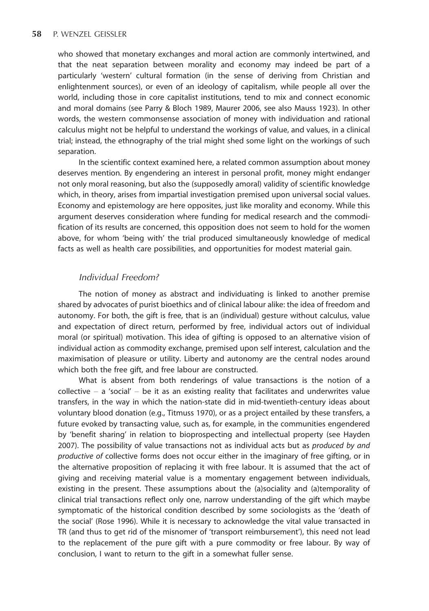who showed that monetary exchanges and moral action are commonly intertwined, and that the neat separation between morality and economy may indeed be part of a particularly 'western' cultural formation (in the sense of deriving from Christian and enlightenment sources), or even of an ideology of capitalism, while people all over the world, including those in core capitalist institutions, tend to mix and connect economic and moral domains (see Parry & Bloch 1989, Maurer 2006, see also Mauss 1923). In other words, the western commonsense association of money with individuation and rational calculus might not be helpful to understand the workings of value, and values, in a clinical trial; instead, the ethnography of the trial might shed some light on the workings of such separation.

In the scientific context examined here, a related common assumption about money deserves mention. By engendering an interest in personal profit, money might endanger not only moral reasoning, but also the (supposedly amoral) validity of scientific knowledge which, in theory, arises from impartial investigation premised upon universal social values. Economy and epistemology are here opposites, just like morality and economy. While this argument deserves consideration where funding for medical research and the commodification of its results are concerned, this opposition does not seem to hold for the women above, for whom 'being with' the trial produced simultaneously knowledge of medical facts as well as health care possibilities, and opportunities for modest material gain.

#### Individual Freedom?

The notion of money as abstract and individuating is linked to another premise shared by advocates of purist bioethics and of clinical labour alike: the idea of freedom and autonomy. For both, the gift is free, that is an (individual) gesture without calculus, value and expectation of direct return, performed by free, individual actors out of individual moral (or spiritual) motivation. This idea of gifting is opposed to an alternative vision of individual action as commodity exchange, premised upon self interest, calculation and the maximisation of pleasure or utility. Liberty and autonomy are the central nodes around which both the free gift, and free labour are constructed.

What is absent from both renderings of value transactions is the notion of a collective  $-$  a 'social'  $-$  be it as an existing reality that facilitates and underwrites value transfers, in the way in which the nation-state did in mid-twentieth-century ideas about voluntary blood donation (e.g., Titmuss 1970), or as a project entailed by these transfers, a future evoked by transacting value, such as, for example, in the communities engendered by 'benefit sharing' in relation to bioprospecting and intellectual property (see Hayden 2007). The possibility of value transactions not as individual acts but as produced by and productive of collective forms does not occur either in the imaginary of free gifting, or in the alternative proposition of replacing it with free labour. It is assumed that the act of giving and receiving material value is a momentary engagement between individuals, existing in the present. These assumptions about the (a)sociality and (a)temporality of clinical trial transactions reflect only one, narrow understanding of the gift which maybe symptomatic of the historical condition described by some sociologists as the 'death of the social' (Rose 1996). While it is necessary to acknowledge the vital value transacted in TR (and thus to get rid of the misnomer of 'transport reimbursement'), this need not lead to the replacement of the pure gift with a pure commodity or free labour. By way of conclusion, I want to return to the gift in a somewhat fuller sense.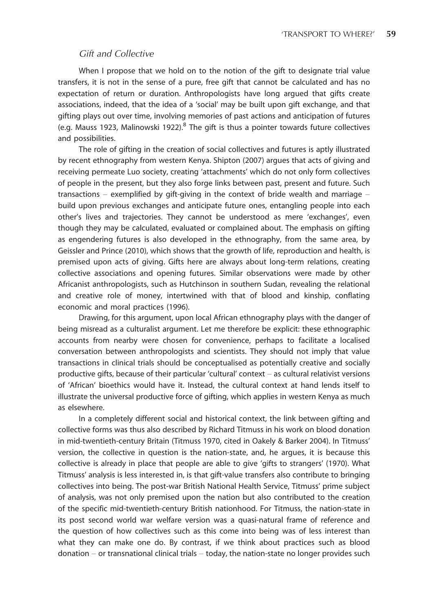#### Gift and Collective

When I propose that we hold on to the notion of the gift to designate trial value transfers, it is not in the sense of a pure, free gift that cannot be calculated and has no expectation of return or duration. Anthropologists have long argued that gifts create associations, indeed, that the idea of a 'social' may be built upon gift exchange, and that gifting plays out over time, involving memories of past actions and anticipation of futures (e.g. Mauss 1923, Malinowski 1922). $8$  The gift is thus a pointer towards future collectives and possibilities.

The role of gifting in the creation of social collectives and futures is aptly illustrated by recent ethnography from western Kenya. Shipton (2007) argues that acts of giving and receiving permeate Luo society, creating 'attachments' which do not only form collectives of people in the present, but they also forge links between past, present and future. Such transactions  $-$  exemplified by gift-giving in the context of bride wealth and marriage  $$ build upon previous exchanges and anticipate future ones, entangling people into each other's lives and trajectories. They cannot be understood as mere 'exchanges', even though they may be calculated, evaluated or complained about. The emphasis on gifting as engendering futures is also developed in the ethnography, from the same area, by Geissler and Prince (2010), which shows that the growth of life, reproduction and health, is premised upon acts of giving. Gifts here are always about long-term relations, creating collective associations and opening futures. Similar observations were made by other Africanist anthropologists, such as Hutchinson in southern Sudan, revealing the relational and creative role of money, intertwined with that of blood and kinship, conflating economic and moral practices (1996).

Drawing, for this argument, upon local African ethnography plays with the danger of being misread as a culturalist argument. Let me therefore be explicit: these ethnographic accounts from nearby were chosen for convenience, perhaps to facilitate a localised conversation between anthropologists and scientists. They should not imply that value transactions in clinical trials should be conceptualised as potentially creative and socially productive gifts, because of their particular 'cultural' context  $-$  as cultural relativist versions of 'African' bioethics would have it. Instead, the cultural context at hand lends itself to illustrate the universal productive force of gifting, which applies in western Kenya as much as elsewhere.

In a completely different social and historical context, the link between gifting and collective forms was thus also described by Richard Titmuss in his work on blood donation in mid-twentieth-century Britain (Titmuss 1970, cited in Oakely & Barker 2004). In Titmuss' version, the collective in question is the nation-state, and, he argues, it is because this collective is already in place that people are able to give 'gifts to strangers' (1970). What Titmuss' analysis is less interested in, is that gift-value transfers also contribute to bringing collectives into being. The post-war British National Health Service, Titmuss' prime subject of analysis, was not only premised upon the nation but also contributed to the creation of the specific mid-twentieth-century British nationhood. For Titmuss, the nation-state in its post second world war welfare version was a quasi-natural frame of reference and the question of how collectives such as this come into being was of less interest than what they can make one do. By contrast, if we think about practices such as blood donation  $-$  or transnational clinical trials  $-$  today, the nation-state no longer provides such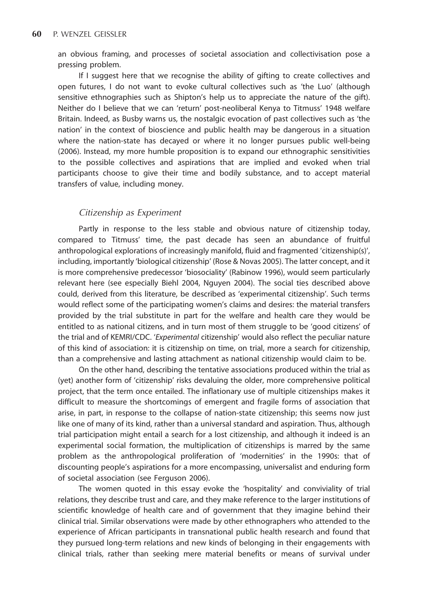an obvious framing, and processes of societal association and collectivisation pose a pressing problem.

If I suggest here that we recognise the ability of gifting to create collectives and open futures, I do not want to evoke cultural collectives such as 'the Luo' (although sensitive ethnographies such as Shipton's help us to appreciate the nature of the gift). Neither do I believe that we can 'return' post-neoliberal Kenya to Titmuss' 1948 welfare Britain. Indeed, as Busby warns us, the nostalgic evocation of past collectives such as 'the nation' in the context of bioscience and public health may be dangerous in a situation where the nation-state has decayed or where it no longer pursues public well-being (2006). Instead, my more humble proposition is to expand our ethnographic sensitivities to the possible collectives and aspirations that are implied and evoked when trial participants choose to give their time and bodily substance, and to accept material transfers of value, including money.

#### Citizenship as Experiment

Partly in response to the less stable and obvious nature of citizenship today, compared to Titmuss' time, the past decade has seen an abundance of fruitful anthropological explorations of increasingly manifold, fluid and fragmented 'citizenship(s)', including, importantly 'biological citizenship' (Rose & Novas 2005). The latter concept, and it is more comprehensive predecessor 'biosociality' (Rabinow 1996), would seem particularly relevant here (see especially Biehl 2004, Nguyen 2004). The social ties described above could, derived from this literature, be described as 'experimental citizenship'. Such terms would reflect some of the participating women's claims and desires: the material transfers provided by the trial substitute in part for the welfare and health care they would be entitled to as national citizens, and in turn most of them struggle to be 'good citizens' of the trial and of KEMRI/CDC. 'Experimental citizenship' would also reflect the peculiar nature of this kind of association: it is citizenship on time, on trial, more a search for citizenship, than a comprehensive and lasting attachment as national citizenship would claim to be.

On the other hand, describing the tentative associations produced within the trial as (yet) another form of 'citizenship' risks devaluing the older, more comprehensive political project, that the term once entailed. The inflationary use of multiple citizenships makes it difficult to measure the shortcomings of emergent and fragile forms of association that arise, in part, in response to the collapse of nation-state citizenship; this seems now just like one of many of its kind, rather than a universal standard and aspiration. Thus, although trial participation might entail a search for a lost citizenship, and although it indeed is an experimental social formation, the multiplication of citizenships is marred by the same problem as the anthropological proliferation of 'modernities' in the 1990s: that of discounting people's aspirations for a more encompassing, universalist and enduring form of societal association (see Ferguson 2006).

The women quoted in this essay evoke the 'hospitality' and conviviality of trial relations, they describe trust and care, and they make reference to the larger institutions of scientific knowledge of health care and of government that they imagine behind their clinical trial. Similar observations were made by other ethnographers who attended to the experience of African participants in transnational public health research and found that they pursued long-term relations and new kinds of belonging in their engagements with clinical trials, rather than seeking mere material benefits or means of survival under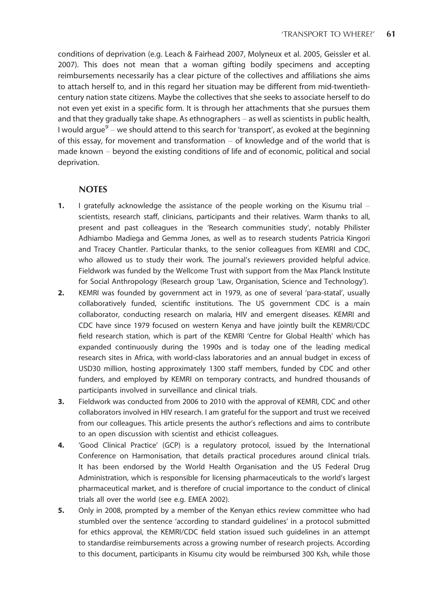conditions of deprivation (e.g. Leach & Fairhead 2007, Molyneux et al. 2005, Geissler et al. 2007). This does not mean that a woman gifting bodily specimens and accepting reimbursements necessarily has a clear picture of the collectives and affiliations she aims to attach herself to, and in this regard her situation may be different from mid-twentiethcentury nation state citizens. Maybe the collectives that she seeks to associate herself to do not even yet exist in a specific form. It is through her attachments that she pursues them and that they gradually take shape. As ethnographers  $-$  as well as scientists in public health, I would argue<sup>9</sup> – we should attend to this search for 'transport', as evoked at the beginning of this essay, for movement and transformation  $-$  of knowledge and of the world that is made known  $-$  beyond the existing conditions of life and of economic, political and social deprivation.

# **NOTES**

- 1. I gratefully acknowledge the assistance of the people working on the Kisumu trial  $$ scientists, research staff, clinicians, participants and their relatives. Warm thanks to all, present and past colleagues in the 'Research communities study', notably Philister Adhiambo Madiega and Gemma Jones, as well as to research students Patricia Kingori and Tracey Chantler. Particular thanks, to the senior colleagues from KEMRI and CDC, who allowed us to study their work. The journal's reviewers provided helpful advice. Fieldwork was funded by the Wellcome Trust with support from the Max Planck Institute for Social Anthropology (Research group 'Law, Organisation, Science and Technology').
- 2. KEMRI was founded by government act in 1979, as one of several 'para-statal', usually collaboratively funded, scientific institutions. The US government CDC is a main collaborator, conducting research on malaria, HIV and emergent diseases. KEMRI and CDC have since 1979 focused on western Kenya and have jointly built the KEMRI/CDC field research station, which is part of the KEMRI 'Centre for Global Health' which has expanded continuously during the 1990s and is today one of the leading medical research sites in Africa, with world-class laboratories and an annual budget in excess of USD30 million, hosting approximately 1300 staff members, funded by CDC and other funders, and employed by KEMRI on temporary contracts, and hundred thousands of participants involved in surveillance and clinical trials.
- 3. Fieldwork was conducted from 2006 to 2010 with the approval of KEMRI, CDC and other collaborators involved in HIV research. I am grateful for the support and trust we received from our colleagues. This article presents the author's reflections and aims to contribute to an open discussion with scientist and ethicist colleagues.
- 4. 'Good Clinical Practice' (GCP) is a regulatory protocol, issued by the International Conference on Harmonisation, that details practical procedures around clinical trials. It has been endorsed by the World Health Organisation and the US Federal Drug Administration, which is responsible for licensing pharmaceuticals to the world's largest pharmaceutical market, and is therefore of crucial importance to the conduct of clinical trials all over the world (see e.g. EMEA 2002).
- 5. Only in 2008, prompted by a member of the Kenyan ethics review committee who had stumbled over the sentence 'according to standard guidelines' in a protocol submitted for ethics approval, the KEMRI/CDC field station issued such guidelines in an attempt to standardise reimbursements across a growing number of research projects. According to this document, participants in Kisumu city would be reimbursed 300 Ksh, while those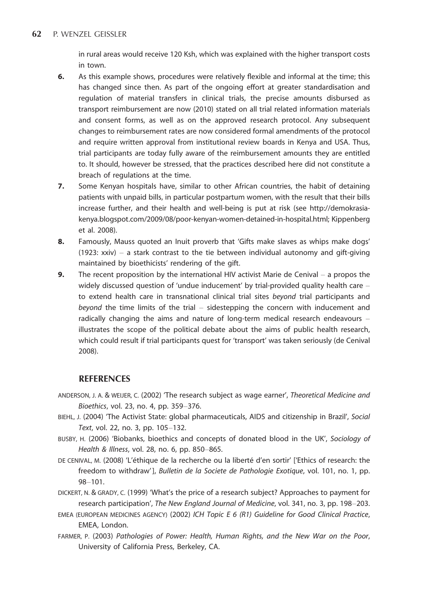#### 62 P. WENZEL GEISSLER

in rural areas would receive 120 Ksh, which was explained with the higher transport costs in town.

- 6. As this example shows, procedures were relatively flexible and informal at the time; this has changed since then. As part of the ongoing effort at greater standardisation and regulation of material transfers in clinical trials, the precise amounts disbursed as transport reimbursement are now (2010) stated on all trial related information materials and consent forms, as well as on the approved research protocol. Any subsequent changes to reimbursement rates are now considered formal amendme[nts of the protocol](http://demokrasia-kenya.blogspot.com/2009/08/poor-kenyan-women-detained-in-hospital.html) [and require written approval from institutional review boards in Kenya and](http://demokrasia-kenya.blogspot.com/2009/08/poor-kenyan-women-detained-in-hospital.html) USA. Thus, trial participants are today fully aware of the reimbursement amounts they are entitled to. It should, however be stressed, that the practices described here did not constitute a breach of regulations at the time.
- 7. Some Kenyan hospitals have, similar to other African countries, the habit of detaining patients with unpaid bills, in particular postpartum women, with the result that their bills increase further, and their health and well-being is put at risk (see http://demokrasiakenya.blogspot.com/2009/08/poor-kenyan-women-detained-in-hospital.html; Kippenberg et al. 2008).
- 8. Famously, Mauss quoted an Inuit proverb that 'Gifts make slaves as whips make dogs'  $(1923: xxiv)$  – a stark contrast to the tie between individual autonomy and gift-giving maintained by bioethicists' rendering of the gift.
- **9.** The recent proposition by the international HIV activist Marie de Cenival  $-$  a propos the widely discussed question of 'undue inducement' by trial-provided quality health care to extend health care in transnational clinical trial sites beyond trial participants and beyond the time limits of the trial  $-$  sidestepping the concern with inducement and radically changing the aims and nature of long-term medical research endeavours illustrates the scope of the political debate about the aims of public health research, which could result if trial participants quest for 'transport' was taken seriously (de Cenival 2008).

#### **REFERENCES**

- ANDERSON, J. A. & WEIJER, C. (2002) 'The research subject as wage earner', Theoretical Medicine and Bioethics, vol. 23, no. 4, pp. 359-376.
- BIEHL, J. (2004) 'The Activist State: global pharmaceuticals, AIDS and citizenship in Brazil', Social Text, vol. 22, no. 3, pp.  $105-132$ .
- BUSBY, H. (2006) 'Biobanks, bioethics and concepts of donated blood in the UK', Sociology of Health & Illness, vol. 28, no. 6, pp. 850-865.
- DE CENIVAL, M. (2008) 'L'éthique de la recherche ou la liberté d'en sortir' ['Ethics of research: the freedom to withdraw'], Bulletin de la Societe de Pathologie Exotique, vol. 101, no. 1, pp. 98-101.
- DICKERT, N. & GRADY, C. (1999) 'What's the price of a research subject? Approaches to payment for research participation', The New England Journal of Medicine, vol. 341, no. 3, pp. 198–203.
- EMEA (EUROPEAN MEDICINES AGENCY) (2002) ICH Topic E 6 (R1) Guideline for Good Clinical Practice, EMEA, London.
- FARMER, P. (2003) Pathologies of Power: Health, Human Rights, and the New War on the Poor, University of California Press, Berkeley, CA.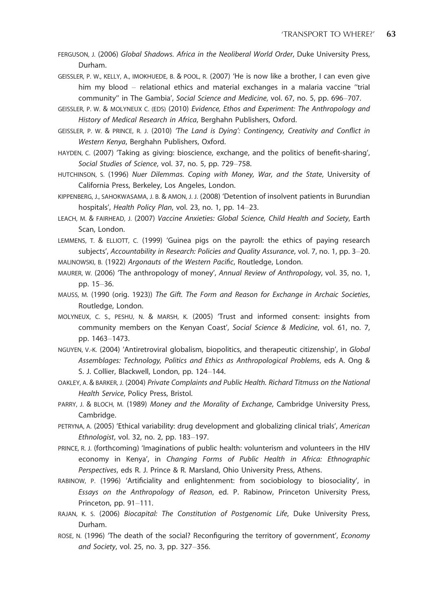- FERGUSON, J. (2006) Global Shadows. Africa in the Neoliberal World Order, Duke University Press, Durham.
- GEISSLER, P. W., KELLY, A., IMOKHUEDE, B. & POOL, R. (2007) 'He is now like a brother, I can even give him my blood - relational ethics and material exchanges in a malaria vaccine "trial community" in The Gambia', Social Science and Medicine, vol. 67, no. 5, pp. 696-707.
- GEISSLER, P. W. & MOLYNEUX C. (EDS) (2010) Evidence, Ethos and Experiment: The Anthropology and History of Medical Research in Africa, Berghahn Publishers, Oxford.
- GEISSLER, P. W. & PRINCE, R. J. (2010) 'The Land is Dying': Contingency, Creativity and Conflict in Western Kenya, Berghahn Publishers, Oxford.
- HAYDEN, C. (2007) 'Taking as giving: bioscience, exchange, and the politics of benefit-sharing', Social Studies of Science, vol. 37, no. 5, pp. 729-758.
- HUTCHINSON, S. (1996) Nuer Dilemmas. Coping with Money, War, and the State, University of California Press, Berkeley, Los Angeles, London.
- KIPPENBERG, J., SAHOKWASAMA, J. B. & AMON, J. J. (2008) 'Detention of insolvent patients in Burundian hospitals', Health Policy Plan, vol. 23, no. 1, pp. 14-23.
- LEACH, M. & FAIRHEAD, J. (2007) Vaccine Anxieties: Global Science, Child Health and Society, Earth Scan, London.
- LEMMENS, T. & ELLIOTT, C. (1999) 'Guinea pigs on the payroll: the ethics of paying research subjects', Accountability in Research: Policies and Quality Assurance, vol. 7, no. 1, pp. 3–20. MALINOWSKI, B. (1922) Argonauts of the Western Pacific, Routledge, London.
- MAURER, W. (2006) 'The anthropology of money', Annual Review of Anthropology, vol. 35, no. 1, pp. 15-36.
- MAUSS, M. (1990 (orig. 1923)) The Gift. The Form and Reason for Exchange in Archaic Societies, Routledge, London.
- MOLYNEUX, C. S., PESHU, N. & MARSH, K. (2005) 'Trust and informed consent: insights from community members on the Kenyan Coast', Social Science & Medicine, vol. 61, no. 7, pp. 1463-1473.
- NGUYEN, V.-K. (2004) 'Antiretroviral globalism, biopolitics, and therapeutic citizenship', in Global Assemblages: Technology, Politics and Ethics as Anthropological Problems, eds A. Ong & S. J. Collier, Blackwell, London, pp. 124-144.
- OAKLEY, A. & BARKER, J. (2004) Private Complaints and Public Health. Richard Titmuss on the National Health Service, Policy Press, Bristol.
- PARRY, J. & BLOCH, M. (1989) Money and the Morality of Exchange, Cambridge University Press, Cambridge.
- PETRYNA, A. (2005) 'Ethical variability: drug development and globalizing clinical trials', American Ethnologist, vol. 32, no. 2, pp. 183-197.
- PRINCE, R. J. (forthcoming) 'Imaginations of public health: volunterism and volunteers in the HIV economy in Kenya', in Changing Forms of Public Health in Africa: Ethnographic Perspectives, eds R. J. Prince & R. Marsland, Ohio University Press, Athens.
- RABINOW, P. (1996) 'Artificiality and enlightenment: from sociobiology to biosociality', in Essays on the Anthropology of Reason, ed. P. Rabinow, Princeton University Press, Princeton, pp. 91-111.
- RAJAN, K. S. (2006) Biocapital: The Constitution of Postgenomic Life, Duke University Press, Durham.
- ROSE, N. (1996) 'The death of the social? Reconfiguring the territory of government', Economy and Society, vol. 25, no. 3, pp.  $327-356$ .